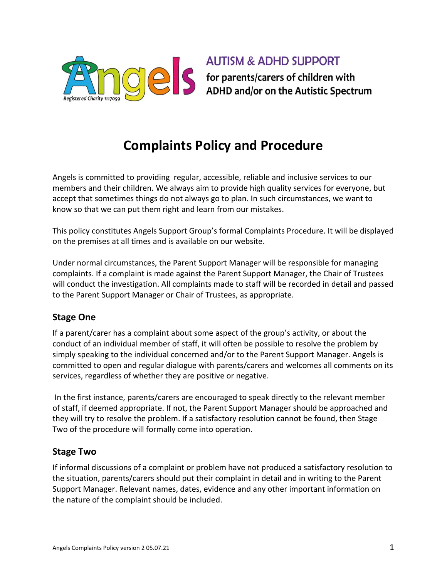

**AUTISM & ADHD SUPPORT** S for parents/carers of children with<br>ADHD and/or on the Autistic Spectrum

# **Complaints Policy and Procedure**

Angels is committed to providing regular, accessible, reliable and inclusive services to our members and their children. We always aim to provide high quality services for everyone, but accept that sometimes things do not always go to plan. In such circumstances, we want to know so that we can put them right and learn from our mistakes.

This policy constitutes Angels Support Group's formal Complaints Procedure. It will be displayed on the premises at all times and is available on our website.

Under normal circumstances, the Parent Support Manager will be responsible for managing complaints. If a complaint is made against the Parent Support Manager, the Chair of Trustees will conduct the investigation. All complaints made to staff will be recorded in detail and passed to the Parent Support Manager or Chair of Trustees, as appropriate.

## **Stage One**

If a parent/carer has a complaint about some aspect of the group's activity, or about the conduct of an individual member of staff, it will often be possible to resolve the problem by simply speaking to the individual concerned and/or to the Parent Support Manager. Angels is committed to open and regular dialogue with parents/carers and welcomes all comments on its services, regardless of whether they are positive or negative.

In the first instance, parents/carers are encouraged to speak directly to the relevant member of staff, if deemed appropriate. If not, the Parent Support Manager should be approached and they will try to resolve the problem. If a satisfactory resolution cannot be found, then Stage Two of the procedure will formally come into operation.

#### **Stage Two**

If informal discussions of a complaint or problem have not produced a satisfactory resolution to the situation, parents/carers should put their complaint in detail and in writing to the Parent Support Manager. Relevant names, dates, evidence and any other important information on the nature of the complaint should be included.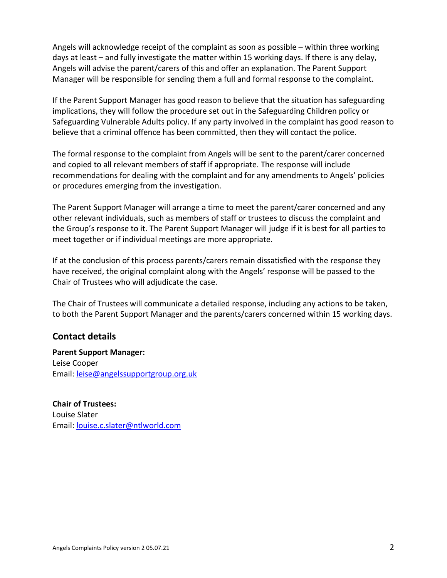Angels will acknowledge receipt of the complaint as soon as possible – within three working days at least – and fully investigate the matter within 15 working days. If there is any delay, Angels will advise the parent/carers of this and offer an explanation. The Parent Support Manager will be responsible for sending them a full and formal response to the complaint.

If the Parent Support Manager has good reason to believe that the situation has safeguarding implications, they will follow the procedure set out in the Safeguarding Children policy or Safeguarding Vulnerable Adults policy. If any party involved in the complaint has good reason to believe that a criminal offence has been committed, then they will contact the police.

The formal response to the complaint from Angels will be sent to the parent/carer concerned and copied to all relevant members of staff if appropriate. The response will include recommendations for dealing with the complaint and for any amendments to Angels' policies or procedures emerging from the investigation.

The Parent Support Manager will arrange a time to meet the parent/carer concerned and any other relevant individuals, such as members of staff or trustees to discuss the complaint and the Group's response to it. The Parent Support Manager will judge if it is best for all parties to meet together or if individual meetings are more appropriate.

If at the conclusion of this process parents/carers remain dissatisfied with the response they have received, the original complaint along with the Angels' response will be passed to the Chair of Trustees who will adjudicate the case.

The Chair of Trustees will communicate a detailed response, including any actions to be taken, to both the Parent Support Manager and the parents/carers concerned within 15 working days.

## **Contact details**

**Parent Support Manager:**  Leise Cooper Email: [leise@angelssupportgroup.org.uk](mailto:leise@angelssupportgroup.org.uk)

**Chair of Trustees:**  Louise Slater Email: [louise.c.slater@ntlworld.com](mailto:louise.c.slater@ntlworld.com)